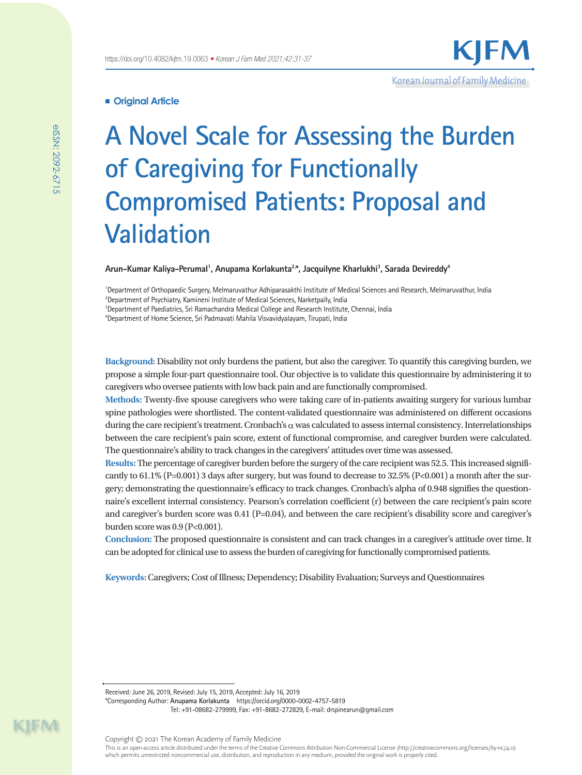# **Original Article**

# **A Novel Scale for Assessing the Burden of Caregiving for Functionally Compromised Patients: Proposal and Validation**

# Arun–Kumar Kaliya–Perumal<sup>1</sup>, Anupama Korlakunta<sup>2,</sup>\*, Jacquilyne Kharlukhi<sup>3</sup>, Sarada Devireddy<sup>4</sup>

<sup>1</sup>Department of Orthopaedic Surgery, Melmaruvathur Adhiparasakthi Institute of Medical Sciences and Research, Melmaruvathur, India  $^{2}$ Department of Psychiatry, Kamineni Institute of Medical Sciences, Narketpally, India

3 Department of Paediatrics, Sri Ramachandra Medical College and Research Institute, Chennai, India

4 Department of Home Science, Sri Padmavati Mahila Visvavidyalayam, Tirupati, India

**Background:** Disability not only burdens the patient, but also the caregiver. To quantify this caregiving burden, we propose a simple four-part questionnaire tool. Our objective is to validate this questionnaire by administering it to caregivers who oversee patients with low back pain and are functionally compromised.

**Methods:** Twenty-five spouse caregivers who were taking care of in-patients awaiting surgery for various lumbar spine pathologies were shortlisted. The content-validated questionnaire was administered on different occasions during the care recipient's treatment. Cronbach's  $\alpha$  was calculated to assess internal consistency. Interrelationships between the care recipient's pain score, extent of functional compromise, and caregiver burden were calculated. The questionnaire's ability to track changes in the caregivers' attitudes over time was assessed.

**Results:** The percentage of caregiver burden before the surgery of the care recipient was 52.5. This increased significantly to  $61.1\%$  (P=0.001) 3 days after surgery, but was found to decrease to 32.5% (P<0.001) a month after the surgery; demonstrating the questionnaire's efficacy to track changes. Cronbach's alpha of 0.948 signifies the questionnaire's excellent internal consistency. Pearson's correlation coefficient (r) between the care recipient's pain score and caregiver's burden score was 0.41 (P=0.04), and between the care recipient's disability score and caregiver's burden score was 0.9 (P<0.001).

**Conclusion:** The proposed questionnaire is consistent and can track changes in a caregiver's attitude over time. It can be adopted for clinical use to assess the burden of caregiving for functionally compromised patients.

**Keywords:** Caregivers; Cost of Illness; Dependency; Disability Evaluation; Surveys and Questionnaires

Received: June 26, 2019, Revised: July 15, 2019, Accepted: July 16, 2019

\*Corresponding Author: **Anupama Korlakunta** https://orcid.org/0000-0002-4757-5819 Tel: +91-08682-279999, Fax: +91-8682-272829, E-mail: drspinearun@gmail.com

KIM

which permits unrestricted noncommercial use, distribution, and reproduction in any medium, provided the original work is properly cited.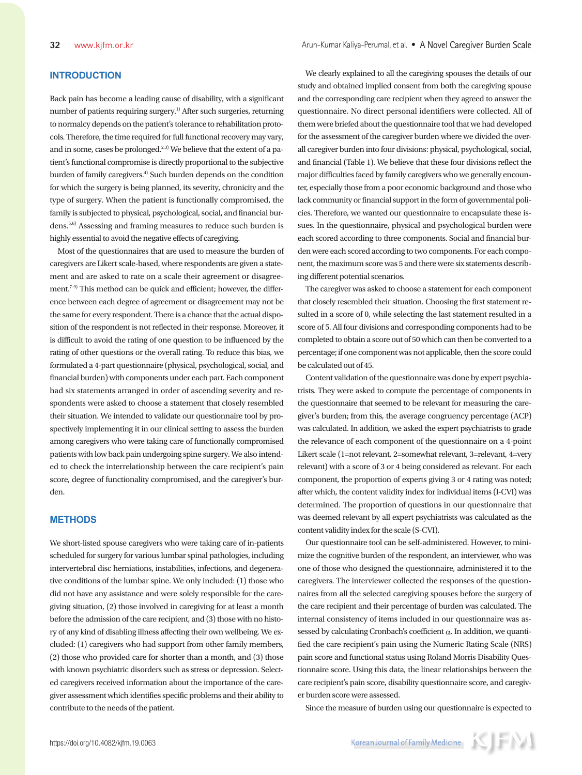# **INTRODUCTION**

Back pain has become a leading cause of disability, with a significant number of patients requiring surgery.1) After such surgeries, returning to normalcy depends on the patient's tolerance to rehabilitation protocols. Therefore, the time required for full functional recovery may vary, and in some, cases be prolonged. $^{2,3}$  We believe that the extent of a patient's functional compromise is directly proportional to the subjective burden of family caregivers.<sup>4)</sup> Such burden depends on the condition for which the surgery is being planned, its severity, chronicity and the type of surgery. When the patient is functionally compromised, the family is subjected to physical, psychological, social, and financial burdens.<sup>5,6)</sup> Assessing and framing measures to reduce such burden is highly essential to avoid the negative effects of caregiving.

Most of the questionnaires that are used to measure the burden of caregivers are Likert scale-based, where respondents are given a statement and are asked to rate on a scale their agreement or disagreement.7-9) This method can be quick and efficient; however, the difference between each degree of agreement or disagreement may not be the same for every respondent. There is a chance that the actual disposition of the respondent is not reflected in their response. Moreover, it is difficult to avoid the rating of one question to be influenced by the rating of other questions or the overall rating. To reduce this bias, we formulated a 4-part questionnaire (physical, psychological, social, and financial burden) with components under each part. Each component had six statements arranged in order of ascending severity and respondents were asked to choose a statement that closely resembled their situation. We intended to validate our questionnaire tool by prospectively implementing it in our clinical setting to assess the burden among caregivers who were taking care of functionally compromised patients with low back pain undergoing spine surgery. We also intended to check the interrelationship between the care recipient's pain score, degree of functionality compromised, and the caregiver's burden.

# **METHODS**

We short-listed spouse caregivers who were taking care of in-patients scheduled for surgery for various lumbar spinal pathologies, including intervertebral disc herniations, instabilities, infections, and degenerative conditions of the lumbar spine. We only included: (1) those who did not have any assistance and were solely responsible for the caregiving situation, (2) those involved in caregiving for at least a month before the admission of the care recipient, and (3) those with no history of any kind of disabling illness affecting their own wellbeing. We excluded: (1) caregivers who had support from other family members, (2) those who provided care for shorter than a month, and (3) those with known psychiatric disorders such as stress or depression. Selected caregivers received information about the importance of the caregiver assessment which identifies specific problems and their ability to contribute to the needs of the patient.

We clearly explained to all the caregiving spouses the details of our study and obtained implied consent from both the caregiving spouse and the corresponding care recipient when they agreed to answer the questionnaire. No direct personal identifiers were collected. All of them were briefed about the questionnaire tool that we had developed for the assessment of the caregiver burden where we divided the overall caregiver burden into four divisions: physical, psychological, social, and financial (Table 1). We believe that these four divisions reflect the major difficulties faced by family caregivers who we generally encounter, especially those from a poor economic background and those who lack community or financial support in the form of governmental policies. Therefore, we wanted our questionnaire to encapsulate these issues. In the questionnaire, physical and psychological burden were each scored according to three components. Social and financial burden were each scored according to two components. For each component, the maximum score was 5 and there were six statements describing different potential scenarios.

The caregiver was asked to choose a statement for each component that closely resembled their situation. Choosing the first statement resulted in a score of 0, while selecting the last statement resulted in a score of 5. All four divisions and corresponding components had to be completed to obtain a score out of 50 which can then be converted to a percentage; if one component was not applicable, then the score could be calculated out of 45.

Content validation of the questionnaire was done by expert psychiatrists. They were asked to compute the percentage of components in the questionnaire that seemed to be relevant for measuring the caregiver's burden; from this, the average congruency percentage (ACP) was calculated. In addition, we asked the expert psychiatrists to grade the relevance of each component of the questionnaire on a 4-point Likert scale (1=not relevant, 2=somewhat relevant, 3=relevant, 4=very relevant) with a score of 3 or 4 being considered as relevant. For each component, the proportion of experts giving 3 or 4 rating was noted; after which, the content validity index for individual items (I-CVI) was determined. The proportion of questions in our questionnaire that was deemed relevant by all expert psychiatrists was calculated as the content validity index for the scale (S-CVI).

Our questionnaire tool can be self-administered. However, to minimize the cognitive burden of the respondent, an interviewer, who was one of those who designed the questionnaire, administered it to the caregivers. The interviewer collected the responses of the questionnaires from all the selected caregiving spouses before the surgery of the care recipient and their percentage of burden was calculated. The internal consistency of items included in our questionnaire was assessed by calculating Cronbach's coefficient  $\alpha$ . In addition, we quantified the care recipient's pain using the Numeric Rating Scale (NRS) pain score and functional status using Roland Morris Disability Questionnaire score. Using this data, the linear relationships between the care recipient's pain score, disability questionnaire score, and caregiver burden score were assessed.

Since the measure of burden using our questionnaire is expected to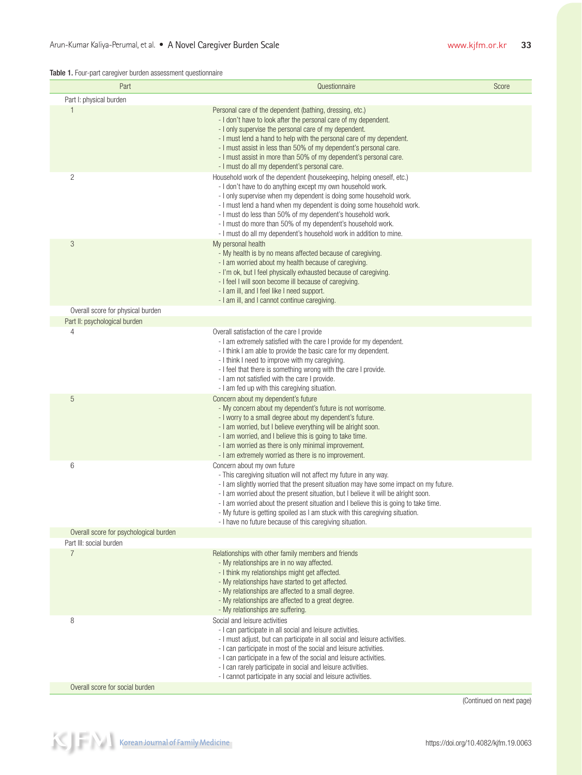| Part                                      | Questionnaire                                                                                                                                                                                                                                                                                                                                                                                                                                                                                                       | Score                    |
|-------------------------------------------|---------------------------------------------------------------------------------------------------------------------------------------------------------------------------------------------------------------------------------------------------------------------------------------------------------------------------------------------------------------------------------------------------------------------------------------------------------------------------------------------------------------------|--------------------------|
| Part I: physical burden                   |                                                                                                                                                                                                                                                                                                                                                                                                                                                                                                                     |                          |
| 1                                         | Personal care of the dependent (bathing, dressing, etc.)<br>- I don't have to look after the personal care of my dependent.<br>- I only supervise the personal care of my dependent.<br>- I must lend a hand to help with the personal care of my dependent.<br>- I must assist in less than 50% of my dependent's personal care.<br>- I must assist in more than 50% of my dependent's personal care.<br>- I must do all my dependent's personal care.                                                             |                          |
| $\overline{c}$                            | Household work of the dependent (housekeeping, helping oneself, etc.)<br>- I don't have to do anything except my own household work.<br>- I only supervise when my dependent is doing some household work.<br>- I must lend a hand when my dependent is doing some household work.<br>- I must do less than 50% of my dependent's household work.<br>- I must do more than 50% of my dependent's household work.<br>- I must do all my dependent's household work in addition to mine.                              |                          |
| 3                                         | My personal health<br>- My health is by no means affected because of caregiving.<br>- I am worried about my health because of caregiving.<br>- I'm ok, but I feel physically exhausted because of caregiving.<br>- I feel I will soon become ill because of caregiving.<br>- I am ill, and I feel like I need support.<br>- I am ill, and I cannot continue caregiving.                                                                                                                                             |                          |
| Overall score for physical burden         |                                                                                                                                                                                                                                                                                                                                                                                                                                                                                                                     |                          |
| Part II: psychological burden             |                                                                                                                                                                                                                                                                                                                                                                                                                                                                                                                     |                          |
| 4                                         | Overall satisfaction of the care I provide<br>- I am extremely satisfied with the care I provide for my dependent.<br>- I think I am able to provide the basic care for my dependent.<br>- I think I need to improve with my caregiving.<br>- I feel that there is something wrong with the care I provide.<br>- I am not satisfied with the care I provide.<br>- I am fed up with this caregiving situation.                                                                                                       |                          |
| 5                                         | Concern about my dependent's future<br>- My concern about my dependent's future is not worrisome.<br>- I worry to a small degree about my dependent's future.<br>- I am worried, but I believe everything will be alright soon.<br>- I am worried, and I believe this is going to take time.<br>- I am worried as there is only minimal improvement.<br>- I am extremely worried as there is no improvement.                                                                                                        |                          |
| 6                                         | Concern about my own future<br>- This caregiving situation will not affect my future in any way.<br>- I am slightly worried that the present situation may have some impact on my future.<br>- I am worried about the present situation, but I believe it will be alright soon.<br>- I am worried about the present situation and I believe this is going to take time.<br>- My future is getting spoiled as I am stuck with this caregiving situation.<br>- I have no future because of this caregiving situation. |                          |
| Overall score for psychological burden    |                                                                                                                                                                                                                                                                                                                                                                                                                                                                                                                     |                          |
| Part III: social burden<br>$\overline{7}$ | Relationships with other family members and friends<br>- My relationships are in no way affected.<br>- I think my relationships might get affected.<br>- My relationships have started to get affected.<br>- My relationships are affected to a small degree.<br>- My relationships are affected to a great degree.<br>- My relationships are suffering.                                                                                                                                                            |                          |
| 8                                         | Social and leisure activities<br>- I can participate in all social and leisure activities.<br>- I must adjust, but can participate in all social and leisure activities.<br>- I can participate in most of the social and leisure activities.<br>- I can participate in a few of the social and leisure activities.<br>- I can rarely participate in social and leisure activities.<br>- I cannot participate in any social and leisure activities.                                                                 |                          |
| Overall score for social burden           |                                                                                                                                                                                                                                                                                                                                                                                                                                                                                                                     |                          |
|                                           |                                                                                                                                                                                                                                                                                                                                                                                                                                                                                                                     | (Continued on next page) |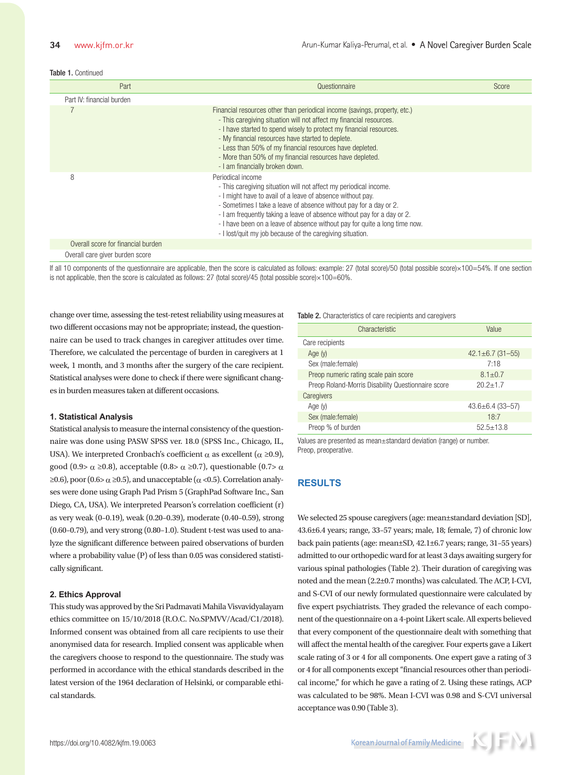#### Table 1. Continued

| Part                               | Questionnaire                                                                                                                                                                                                                                                                                                                                                                                                                                   | Score |
|------------------------------------|-------------------------------------------------------------------------------------------------------------------------------------------------------------------------------------------------------------------------------------------------------------------------------------------------------------------------------------------------------------------------------------------------------------------------------------------------|-------|
| Part IV: financial burden          |                                                                                                                                                                                                                                                                                                                                                                                                                                                 |       |
|                                    | Financial resources other than periodical income (savings, property, etc.)<br>- This caregiving situation will not affect my financial resources.<br>- I have started to spend wisely to protect my financial resources.<br>- My financial resources have started to deplete.<br>- Less than 50% of my financial resources have depleted.<br>- More than 50% of my financial resources have depleted.<br>- I am financially broken down.        |       |
| 8                                  | Periodical income<br>- This caregiving situation will not affect my periodical income.<br>- I might have to avail of a leave of absence without pay.<br>- Sometimes I take a leave of absence without pay for a day or 2.<br>- I am frequently taking a leave of absence without pay for a day or 2.<br>- I have been on a leave of absence without pay for quite a long time now.<br>- I lost/quit my job because of the caregiving situation. |       |
| Overall score for financial burden |                                                                                                                                                                                                                                                                                                                                                                                                                                                 |       |
| Overall care giver burden score    |                                                                                                                                                                                                                                                                                                                                                                                                                                                 |       |

If all 10 components of the questionnaire are applicable, then the score is calculated as follows: example: 27 (total score)/50 (total possible score)×100=54%. If one section is not applicable, then the score is calculated as follows: 27 (total score)/45 (total possible score)×100=60%.

change over time, assessing the test-retest reliability using measures at two different occasions may not be appropriate; instead, the questionnaire can be used to track changes in caregiver attitudes over time. Therefore, we calculated the percentage of burden in caregivers at 1 week, 1 month, and 3 months after the surgery of the care recipient. Statistical analyses were done to check if there were significant changes in burden measures taken at different occasions.

#### **1. Statistical Analysis**

Statistical analysis to measure the internal consistency of the questionnaire was done using PASW SPSS ver. 18.0 (SPSS Inc., Chicago, IL, USA). We interpreted Cronbach's coefficient  $\alpha$  as excellent ( $\alpha \ge 0.9$ ), good (0.9> α ≥0.8), acceptable (0.8> α ≥0.7), questionable (0.7> α  $\geq$ 0.6), poor (0.6 $\geq$   $\alpha$   $\geq$ 0.5), and unacceptable ( $\alpha$  <0.5). Correlation analyses were done using Graph Pad Prism 5 (GraphPad Software Inc., San Diego, CA, USA). We interpreted Pearson's correlation coefficient (r) as very weak (0–0.19), weak (0.20–0.39), moderate (0.40–0.59), strong (0.60–0.79), and very strong (0.80–1.0). Student t-test was used to analyze the significant difference between paired observations of burden where a probability value (P) of less than 0.05 was considered statistically significant.

#### **2. Ethics Approval**

This study was approved by the Sri Padmavati Mahila Visvavidyalayam ethics committee on 15/10/2018 (R.O.C. No.SPMVV/Acad/C1/2018). Informed consent was obtained from all care recipients to use their anonymised data for research. Implied consent was applicable when the caregivers choose to respond to the questionnaire. The study was performed in accordance with the ethical standards described in the latest version of the 1964 declaration of Helsinki, or comparable ethical standards.

#### Table 2. Characteristics of care recipients and caregivers

| Characteristic                                     | Value                  |  |  |  |
|----------------------------------------------------|------------------------|--|--|--|
| Care recipients                                    |                        |  |  |  |
| Age $(y)$                                          | $42.1 \pm 6.7$ (31-55) |  |  |  |
| Sex (male: female)                                 | 7:18                   |  |  |  |
| Preop numeric rating scale pain score              | $8.1 + 0.7$            |  |  |  |
| Preop Roland-Morris Disability Questionnaire score | $20.2 + 1.7$           |  |  |  |
| Caregivers                                         |                        |  |  |  |
| Age (y)                                            | $43.6 \pm 6.4$ (33-57) |  |  |  |
| Sex (male: female)                                 | 18:7                   |  |  |  |
| Preop % of burden                                  | $52.5 + 13.8$          |  |  |  |

Values are presented as mean±standard deviation (range) or number. Preop, preoperative.

# **RESULTS**

We selected 25 spouse caregivers (age: mean±standard deviation [SD], 43.6±6.4 years; range, 33–57 years; male, 18; female, 7) of chronic low back pain patients (age: mean±SD, 42.1±6.7 years; range, 31–55 years) admitted to our orthopedic ward for at least 3 days awaiting surgery for various spinal pathologies (Table 2). Their duration of caregiving was noted and the mean (2.2±0.7 months) was calculated. The ACP, I-CVI, and S-CVI of our newly formulated questionnaire were calculated by five expert psychiatrists. They graded the relevance of each component of the questionnaire on a 4-point Likert scale. All experts believed that every component of the questionnaire dealt with something that will affect the mental health of the caregiver. Four experts gave a Likert scale rating of 3 or 4 for all components. One expert gave a rating of 3 or 4 for all components except "financial resources other than periodical income," for which he gave a rating of 2. Using these ratings, ACP was calculated to be 98%. Mean I-CVI was 0.98 and S-CVI universal acceptance was 0.90 (Table 3).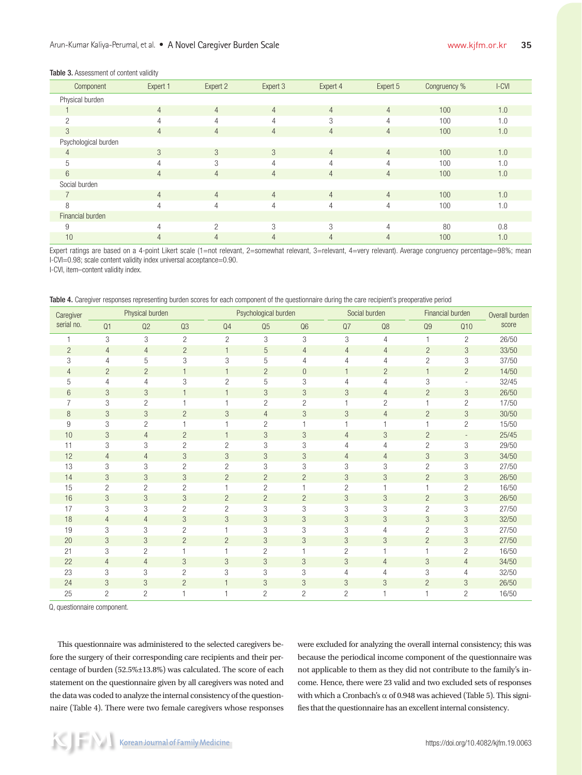### Table 3. Assessment of content validity

| Component            | Expert 1       | Expert 2       | Expert 3       | Expert 4       | Expert 5       | Congruency % | $l$ -CVI |
|----------------------|----------------|----------------|----------------|----------------|----------------|--------------|----------|
| Physical burden      |                |                |                |                |                |              |          |
|                      | $\overline{4}$ | $\overline{4}$ | $\overline{4}$ | $\overline{4}$ | $\overline{4}$ | 100          | 1.0      |
| $\mathfrak{p}$       | 4              | 4              | $\overline{4}$ | 3              | 4              | 100          | 1.0      |
| 3                    | $\overline{4}$ | $\overline{4}$ | $\overline{4}$ | $\overline{4}$ | $\overline{4}$ | 100          | 1.0      |
| Psychological burden |                |                |                |                |                |              |          |
| $\overline{4}$       | 3              | 3              | 3              | $\overline{4}$ | $\overline{4}$ | 100          | 1.0      |
| 5                    | 4              | 3              | 4              | 4              | $\overline{4}$ | 100          | 1.0      |
| 6                    | $\overline{4}$ | $\overline{4}$ | $\overline{4}$ | $\overline{4}$ | $\overline{4}$ | 100          | 1.0      |
| Social burden        |                |                |                |                |                |              |          |
| 7                    | $\overline{4}$ | $\overline{4}$ | $\overline{4}$ | $\overline{4}$ | $\overline{4}$ | 100          | 1.0      |
| 8                    | 4              | $\overline{4}$ | 4              | 4              | $\overline{4}$ | 100          | 1.0      |
| Financial burden     |                |                |                |                |                |              |          |
| 9                    | Δ              | $\mathcal{D}$  | 3              | 3              | $\overline{4}$ | 80           | 0.8      |
| 10                   | 4              | $\overline{4}$ | $\overline{4}$ | $\overline{4}$ | 4              | 100          | 1.0      |

Expert ratings are based on a 4-point Likert scale (1=not relevant, 2=somewhat relevant, 3=relevant, 4=very relevant). Average congruency percentage=98%; mean I-CVI=0.98; scale content validity index universal acceptance=0.90.

I-CVI, item–content validity index.

Table 4. Caregiver responses representing burden scores for each component of the questionnaire during the care recipient's preoperative period

| Caregiver      |                | Physical burden |                |                | Psychological burden |                |                | Social burden  |                | Financial burden         | Overall burden |
|----------------|----------------|-----------------|----------------|----------------|----------------------|----------------|----------------|----------------|----------------|--------------------------|----------------|
| serial no.     | Q1             | Q2              | Q3             | Q <sub>4</sub> | Q <sub>5</sub>       | Q <sub>6</sub> | Q7             | Q8             | Q <sub>9</sub> | Q10                      | score          |
|                | 3              | 3               | $\overline{c}$ | $\overline{2}$ | 3                    | 3              | 3              | $\overline{4}$ | 1              | $\overline{c}$           | 26/50          |
| $\overline{2}$ | $\overline{4}$ | $\overline{4}$  | $\overline{c}$ | $\mathbf{1}$   | 5                    | $\overline{4}$ | $\overline{4}$ | 4              | $\overline{2}$ | 3                        | 33/50          |
| 3              | 4              | 5               | 3              | 3              | 5                    | $\overline{4}$ | $\overline{4}$ | 4              | $\overline{c}$ | 3                        | 37/50          |
| 4              | $\overline{c}$ | $\overline{c}$  | $\mathbf{1}$   | $\mathbf{1}$   | $\overline{2}$       | $\overline{0}$ | $\mathbf{1}$   | $\overline{c}$ | $\mathbf{1}$   | $\overline{c}$           | 14/50          |
| 5              | 4              | 4               | 3              | $\overline{c}$ | 5                    | 3              | 4              | 4              | 3              | $\overline{\phantom{a}}$ | 32/45          |
| 6              | 3              | 3               | $\mathbf{1}$   |                | 3                    | 3              | 3              | 4              | $\overline{c}$ | 3                        | 26/50          |
| 7              | 3              | $\overline{c}$  | $\overline{1}$ | 1              | $\overline{c}$       | $\overline{c}$ | 1              | $\overline{c}$ | $\mathbf{1}$   | $\overline{c}$           | 17/50          |
| 8              | 3              | 3               | $\overline{2}$ | 3              | $\overline{4}$       | 3              | 3              | $\overline{4}$ | $\overline{2}$ | 3                        | 30/50          |
| 9              | 3              | $\overline{c}$  |                |                | $\overline{2}$       | $\mathbf{1}$   | 1              | 1              | $\mathbf{1}$   | $\overline{c}$           | 15/50          |
| 10             | 3              | $\overline{4}$  | $\overline{c}$ | $\mathbf{1}$   | 3                    | 3              | $\overline{4}$ | 3              | $\overline{2}$ | $\overline{\phantom{a}}$ | 25/45          |
| 11             | 3              | 3               | $\overline{c}$ | $\overline{c}$ | 3                    | 3              | 4              | 4              | $\overline{c}$ | 3                        | 29/50          |
| 12             | $\overline{4}$ | $\overline{4}$  | 3              | 3              | 3                    | 3              | $\overline{4}$ | $\overline{4}$ | 3              | 3                        | 34/50          |
| 13             | 3              | 3               | $\overline{c}$ | $\overline{c}$ | 3                    | 3              | 3              | 3              | $\overline{2}$ | 3                        | 27/50          |
| 14             | 3              | 3               | 3              | $\overline{2}$ | $\overline{c}$       | $\overline{2}$ | 3              | 3              | $\overline{c}$ | 3                        | 26/50          |
| 15             | $\overline{2}$ | $\overline{c}$  | $\overline{c}$ | 1              | $\overline{c}$       | $\mathbf{1}$   | $\overline{c}$ | 1              | $\mathbf{1}$   | $\overline{c}$           | 16/50          |
| 16             | 3              | 3               | 3              | $\overline{c}$ | $\overline{c}$       | $\overline{c}$ | 3              | 3              | $\overline{2}$ | 3                        | 26/50          |
| 17             | 3              | 3               | $\overline{c}$ | $\overline{c}$ | 3                    | 3              | 3              | 3              | $\overline{2}$ | 3                        | 27/50          |
| 18             | $\overline{4}$ | $\overline{4}$  | 3              | 3              | 3                    | 3              | 3              | 3              | 3              | 3                        | 32/50          |
| 19             | 3              | 3               | $\overline{2}$ |                | 3                    | 3              | 3              | 4              | $\overline{c}$ | 3                        | 27/50          |
| 20             | 3              | 3               | $\overline{c}$ | $\overline{c}$ | 3                    | 3              | 3              | 3              | $\overline{c}$ | 3                        | 27/50          |
| 21             | 3              | $\overline{2}$  | 1              | 1              | $\overline{2}$       | 1              | $\overline{c}$ | 1              | $\mathbf{1}$   | $\overline{2}$           | 16/50          |
| 22             | $\overline{4}$ | $\overline{4}$  | 3              | 3              | 3                    | 3              | 3              | $\overline{4}$ | 3              | $\overline{4}$           | 34/50          |
| 23             | 3              | 3               | $\mathbf{2}$   | 3              | 3                    | 3              | 4              | 4              | 3              | $\overline{4}$           | 32/50          |
| 24             | 3              | $\mathfrak{Z}$  | $\overline{c}$ | 1              | 3                    | 3              | 3              | 3              | $\overline{2}$ | 3                        | 26/50          |
| 25             | $\overline{2}$ | $\overline{2}$  | 1              | 1              | $\overline{c}$       | $\overline{2}$ | $\overline{c}$ |                | $\overline{1}$ | $\overline{c}$           | 16/50          |

Q, questionnaire component.

This questionnaire was administered to the selected caregivers before the surgery of their corresponding care recipients and their percentage of burden (52.5%±13.8%) was calculated. The score of each statement on the questionnaire given by all caregivers was noted and the data was coded to analyze the internal consistency of the questionnaire (Table 4). There were two female caregivers whose responses were excluded for analyzing the overall internal consistency; this was because the periodical income component of the questionnaire was not applicable to them as they did not contribute to the family's income. Hence, there were 23 valid and two excluded sets of responses with which a Cronbach's  $\alpha$  of 0.948 was achieved (Table 5). This signifies that the questionnaire has an excellent internal consistency.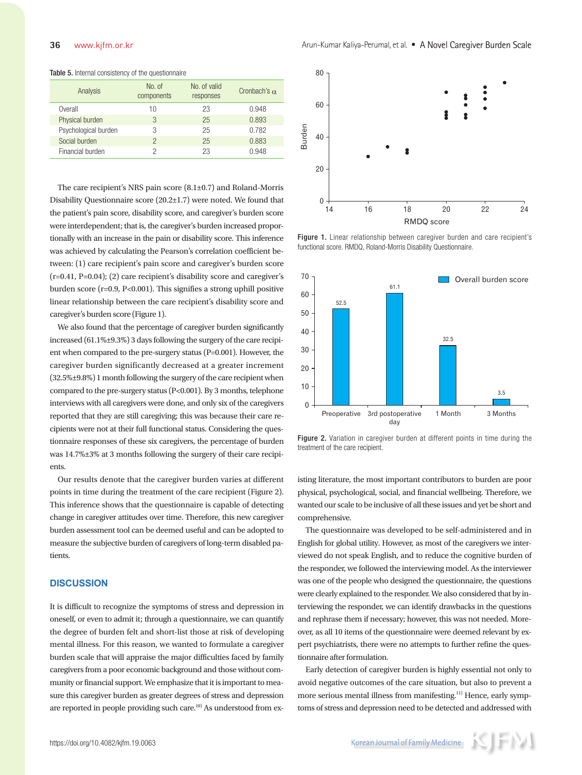| Analysis             | No. of<br>components | No. of valid<br>responses | Cronbach's $\alpha$ |
|----------------------|----------------------|---------------------------|---------------------|
| Overall              | 10                   | 23                        | 0.948               |
| Physical burden      | 3                    | 25                        | 0.893               |
| Psychological burden | 3                    | 25                        | 0.782               |
| Social burden        | っ                    | 25                        | 0.883               |
| Financial burden     |                      | 23                        | 0.948               |

#### Table 5. Internal consistency of the questionnaire

The care recipient's NRS pain score (8.1±0.7) and Roland-Morris Disability Questionnaire score (20.2±1.7) were noted. We found that the patient's pain score, disability score, and caregiver's burden score were interdependent; that is, the caregiver's burden increased proportionally with an increase in the pain or disability score. This inference was achieved by calculating the Pearson's correlation coefficient between: (1) care recipient's pain score and caregiver's burden score (r=0.41, P=0.04); (2) care recipient's disability score and caregiver's burden score (r=0.9, P<0.001). This signifies a strong uphill positive linear relationship between the care recipient's disability score and caregiver's burden score (Figure 1).

We also found that the percentage of caregiver burden significantly increased (61.1%±9.3%) 3 days following the surgery of the care recipient when compared to the pre-surgery status (P=0.001). However, the caregiver burden significantly decreased at a greater increment (32.5%±9.8%) 1 month following the surgery of the care recipient when compared to the pre-surgery status (P<0.001). By 3 months, telephone interviews with all caregivers were done, and only six of the caregivers reported that they are still caregiving; this was because their care recipients were not at their full functional status. Considering the questionnaire responses of these six caregivers, the percentage of burden was 14.7%±3% at 3 months following the surgery of their care recipients.

Our results denote that the caregiver burden varies at different points in time during the treatment of the care recipient (Figure 2). This inference shows that the questionnaire is capable of detecting change in caregiver attitudes over time. Therefore, this new caregiver burden assessment tool can be deemed useful and can be adopted to measure the subjective burden of caregivers of long-term disabled patients.

# **DISCUSSION**

It is difficult to recognize the symptoms of stress and depression in oneself, or even to admit it; through a questionnaire, we can quantify the degree of burden felt and short-list those at risk of developing mental illness. For this reason, we wanted to formulate a caregiver burden scale that will appraise the major difficulties faced by family caregivers from a poor economic background and those without community or financial support. We emphasize that it is important to measure this caregiver burden as greater degrees of stress and depression are reported in people providing such care.<sup>10)</sup> As understood from ex-



Figure 1. Linear relationship between caregiver burden and care recipient's functional score. RMDQ, Roland-Morris Disability Questionnaire.



Figure 2. Variation in caregiver burden at different points in time during the treatment of the care recipient.

isting literature, the most important contributors to burden are poor physical, psychological, social, and financial wellbeing. Therefore, we wanted our scale to be inclusive of all these issues and yet be short and comprehensive.

The questionnaire was developed to be self-administered and in English for global utility. However, as most of the caregivers we interviewed do not speak English, and to reduce the cognitive burden of the responder, we followed the interviewing model. As the interviewer was one of the people who designed the questionnaire, the questions were clearly explained to the responder. We also considered that by interviewing the responder, we can identify drawbacks in the questions and rephrase them if necessary; however, this was not needed. Moreover, as all 10 items of the questionnaire were deemed relevant by expert psychiatrists, there were no attempts to further refine the questionnaire after formulation.

Early detection of caregiver burden is highly essential not only to avoid negative outcomes of the care situation, but also to prevent a more serious mental illness from manifesting.<sup>11)</sup> Hence, early symptoms of stress and depression need to be detected and addressed with